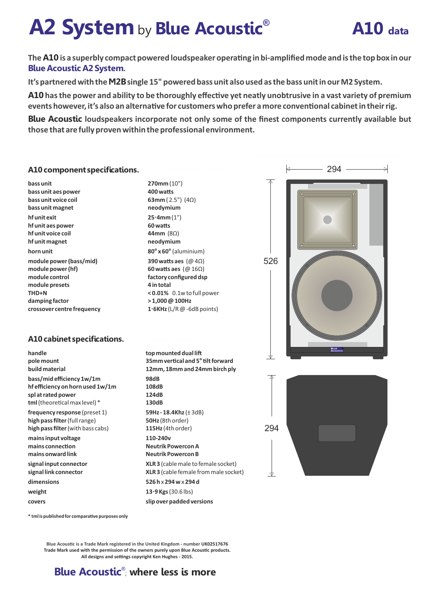# **A2 System** by **Blue Acoustic<sup>®</sup> A10** data



The **A10** is a superbly compact powered loudspeaker operating in bi-amplified mode and is the top box in our **Blue Acoustic A2 System.**

**It's partnered with the M2Bsingle 15" powered bass unit also used as the bass unit in our M2 System.**

**A10** has the power and ability to be thoroughly effective yet neatly unobtrusive in a vast variety of premium events however, it's also an alternative for customers who prefer a more conventional cabinet in their rig.

**Blue Acoustic loudspeakers incorporate not only some of the finest components currently available but those that are fully proven within the professional environment.**

#### **A10 component specifications.** k 294 **270mm** (10") **bass unit bass unit aes power 400 watts bass unit voice coil 63mm** ( 2.5") (4Ω) **bass unit magnet neodymium hf unit exit 25·4mm** (1") **hf unit aes power 60 was hf unit voice coil 44mm** (8Ω) **hf unit magnet neodymium horn unit 80° x 60°** (aluminium) 526**module power (bass/mid) 390 watts aes** (@ 4Ω) **module power (hf) 60 watts aes** (@ 16Ω) **module control factory configured dsp module presets 4 in total < 0.01%** 0.1w to full power **THD+N > 1,000 @ 100Hz damping factor 1·6KHz** (L/R @ -6dB points) **crossover centre frequency A10 cabinet specifications. handle top mounted dual li 35mm vercal and 5°lt forward pole mount 12mm, 18mm and 24mm birch ply build material ..... 98dB bass/mid efficiency 1w/1m hf efficiency on horn used 1w/1m 108dB spl at rated power 124dB** tml (theoretical max level) \* **130dB 59Hz - 18.4Khz** (± 3dB) **frequency response** (preset 1) **high pass filter**(full range) **50Hz** (8th order) 294 **high pass filter** (with bass cabs) **115Hz** (4th order) **mains input voltage 110-240v Neutrik Powercon A** mains connection **mains onward link Neutrik Powercon B signal input connector XLR 3** (cable male to female socket) **signal link connector XLR 3** (cable female from male socket) dimensions **526 h** x **294 w** x **294 d 13·9 Kgs** (30.6 lbs) **weight covers slip over padded versions**

 $*$  **tml is published for comparative purposes only** 

**Blue Acoustic is a Trade Mark registered in the United Kingdom - number UK02517676 Trade Mark used with the permission of the owners purely upon Blue Acoustic products.** All designs and settings copyright Ken Hughes - 2015.

# **Blue Acoustic<sup>®</sup>; where less is more**